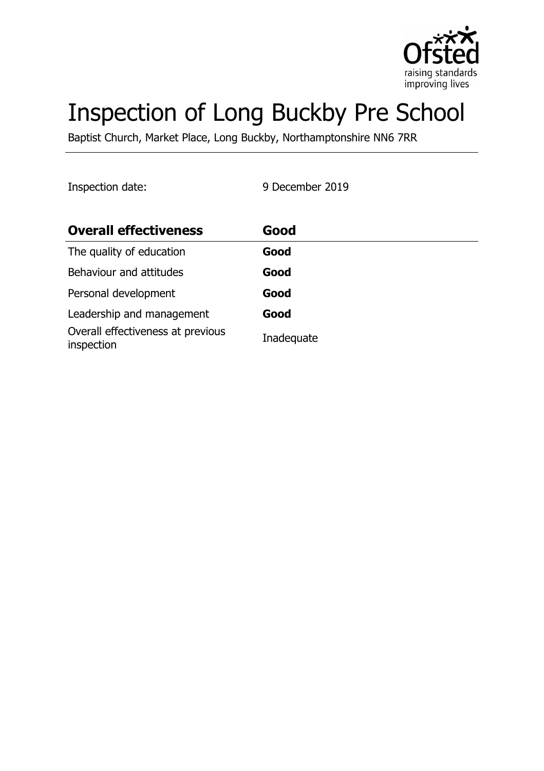

# Inspection of Long Buckby Pre School

Baptist Church, Market Place, Long Buckby, Northamptonshire NN6 7RR

Inspection date: 9 December 2019

| <b>Overall effectiveness</b>                    | Good       |
|-------------------------------------------------|------------|
| The quality of education                        | Good       |
| Behaviour and attitudes                         | Good       |
| Personal development                            | Good       |
| Leadership and management                       | Good       |
| Overall effectiveness at previous<br>inspection | Inadequate |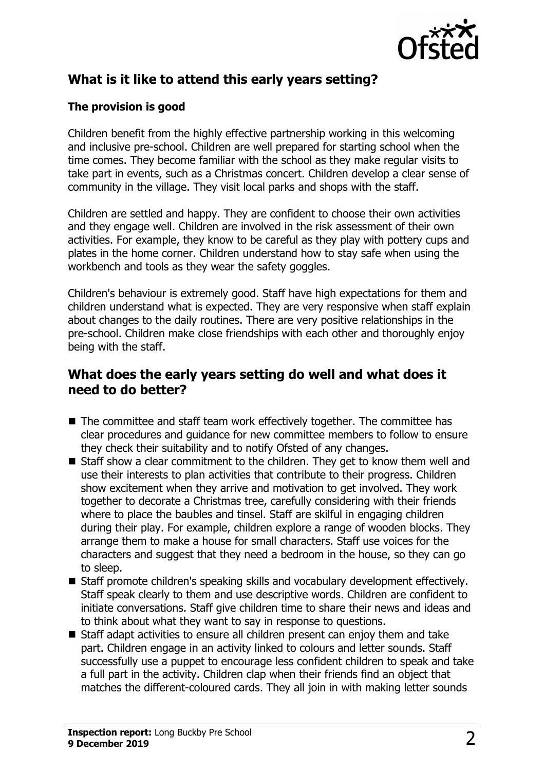

# **What is it like to attend this early years setting?**

## **The provision is good**

Children benefit from the highly effective partnership working in this welcoming and inclusive pre-school. Children are well prepared for starting school when the time comes. They become familiar with the school as they make regular visits to take part in events, such as a Christmas concert. Children develop a clear sense of community in the village. They visit local parks and shops with the staff.

Children are settled and happy. They are confident to choose their own activities and they engage well. Children are involved in the risk assessment of their own activities. For example, they know to be careful as they play with pottery cups and plates in the home corner. Children understand how to stay safe when using the workbench and tools as they wear the safety goggles.

Children's behaviour is extremely good. Staff have high expectations for them and children understand what is expected. They are very responsive when staff explain about changes to the daily routines. There are very positive relationships in the pre-school. Children make close friendships with each other and thoroughly enjoy being with the staff.

## **What does the early years setting do well and what does it need to do better?**

- $\blacksquare$  The committee and staff team work effectively together. The committee has clear procedures and guidance for new committee members to follow to ensure they check their suitability and to notify Ofsted of any changes.
- $\blacksquare$  Staff show a clear commitment to the children. They get to know them well and use their interests to plan activities that contribute to their progress. Children show excitement when they arrive and motivation to get involved. They work together to decorate a Christmas tree, carefully considering with their friends where to place the baubles and tinsel. Staff are skilful in engaging children during their play. For example, children explore a range of wooden blocks. They arrange them to make a house for small characters. Staff use voices for the characters and suggest that they need a bedroom in the house, so they can go to sleep.
- Staff promote children's speaking skills and vocabulary development effectively. Staff speak clearly to them and use descriptive words. Children are confident to initiate conversations. Staff give children time to share their news and ideas and to think about what they want to say in response to questions.
- Staff adapt activities to ensure all children present can enjoy them and take part. Children engage in an activity linked to colours and letter sounds. Staff successfully use a puppet to encourage less confident children to speak and take a full part in the activity. Children clap when their friends find an object that matches the different-coloured cards. They all join in with making letter sounds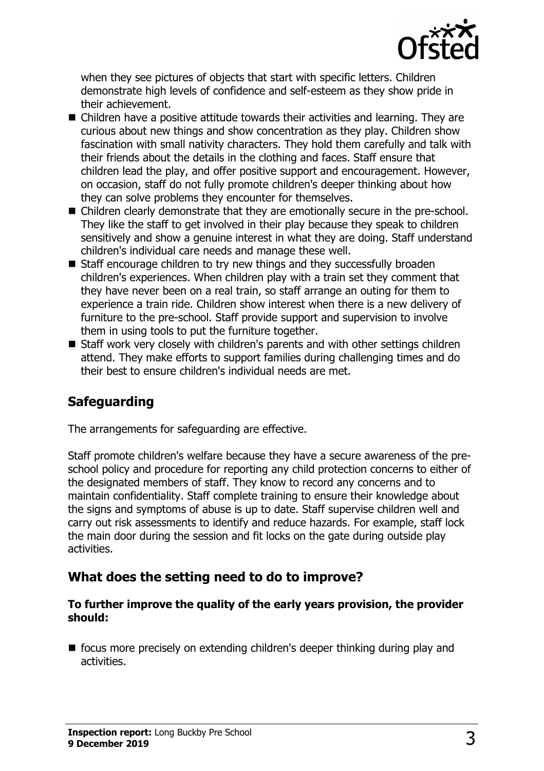

when they see pictures of objects that start with specific letters. Children demonstrate high levels of confidence and self-esteem as they show pride in their achievement.

- $\blacksquare$  Children have a positive attitude towards their activities and learning. They are curious about new things and show concentration as they play. Children show fascination with small nativity characters. They hold them carefully and talk with their friends about the details in the clothing and faces. Staff ensure that children lead the play, and offer positive support and encouragement. However, on occasion, staff do not fully promote children's deeper thinking about how they can solve problems they encounter for themselves.
- Children clearly demonstrate that they are emotionally secure in the pre-school. They like the staff to get involved in their play because they speak to children sensitively and show a genuine interest in what they are doing. Staff understand children's individual care needs and manage these well.
- $\blacksquare$  Staff encourage children to try new things and they successfully broaden children's experiences. When children play with a train set they comment that they have never been on a real train, so staff arrange an outing for them to experience a train ride. Children show interest when there is a new delivery of furniture to the pre-school. Staff provide support and supervision to involve them in using tools to put the furniture together.
- $\blacksquare$  Staff work very closely with children's parents and with other settings children attend. They make efforts to support families during challenging times and do their best to ensure children's individual needs are met.

## **Safeguarding**

The arrangements for safeguarding are effective.

Staff promote children's welfare because they have a secure awareness of the preschool policy and procedure for reporting any child protection concerns to either of the designated members of staff. They know to record any concerns and to maintain confidentiality. Staff complete training to ensure their knowledge about the signs and symptoms of abuse is up to date. Staff supervise children well and carry out risk assessments to identify and reduce hazards. For example, staff lock the main door during the session and fit locks on the gate during outside play activities.

## **What does the setting need to do to improve?**

#### **To further improve the quality of the early years provision, the provider should:**

 $\blacksquare$  focus more precisely on extending children's deeper thinking during play and activities.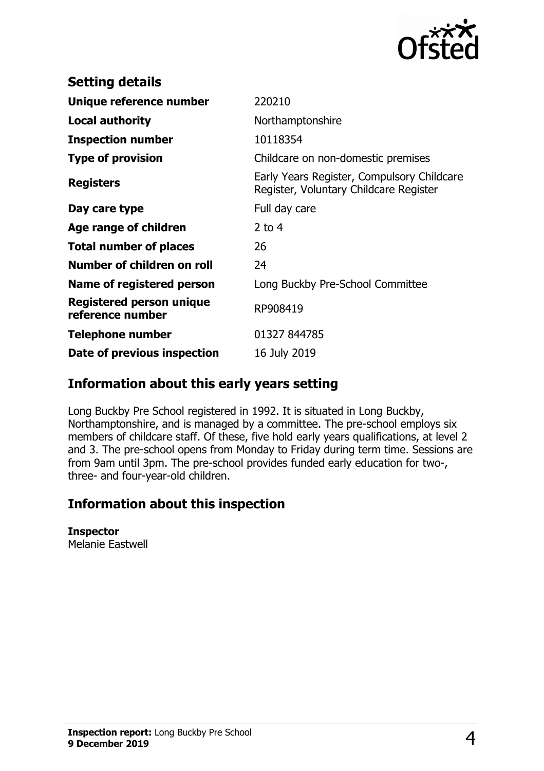

| <b>Setting details</b>                              |                                                                                      |
|-----------------------------------------------------|--------------------------------------------------------------------------------------|
| Unique reference number                             | 220210                                                                               |
| Local authority                                     | Northamptonshire                                                                     |
| <b>Inspection number</b>                            | 10118354                                                                             |
| <b>Type of provision</b>                            | Childcare on non-domestic premises                                                   |
| <b>Registers</b>                                    | Early Years Register, Compulsory Childcare<br>Register, Voluntary Childcare Register |
| Day care type                                       | Full day care                                                                        |
| Age range of children                               | 2 to $4$                                                                             |
| <b>Total number of places</b>                       | 26                                                                                   |
| Number of children on roll                          | 24                                                                                   |
| Name of registered person                           | Long Buckby Pre-School Committee                                                     |
| <b>Registered person unique</b><br>reference number | RP908419                                                                             |
| <b>Telephone number</b>                             | 01327 844785                                                                         |
| Date of previous inspection                         | 16 July 2019                                                                         |

## **Information about this early years setting**

Long Buckby Pre School registered in 1992. It is situated in Long Buckby, Northamptonshire, and is managed by a committee. The pre-school employs six members of childcare staff. Of these, five hold early years qualifications, at level 2 and 3. The pre-school opens from Monday to Friday during term time. Sessions are from 9am until 3pm. The pre-school provides funded early education for two-, three- and four-year-old children.

## **Information about this inspection**

#### **Inspector**

Melanie Eastwell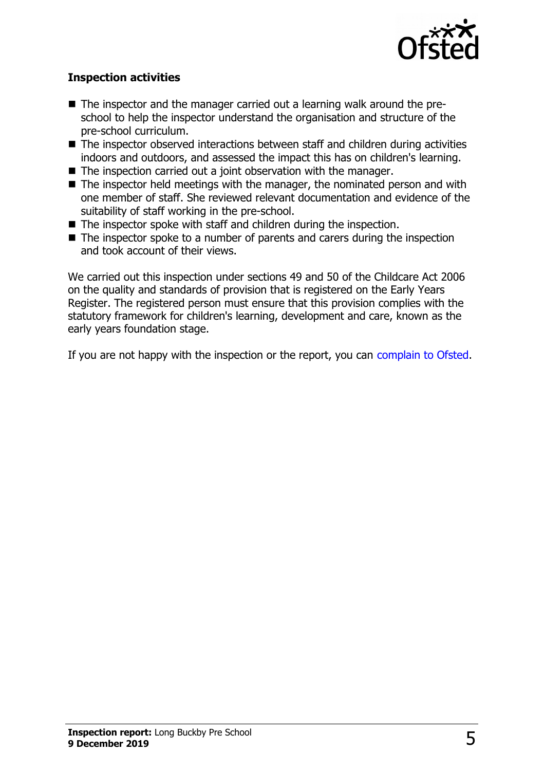

### **Inspection activities**

- The inspector and the manager carried out a learning walk around the preschool to help the inspector understand the organisation and structure of the pre-school curriculum.
- $\blacksquare$  The inspector observed interactions between staff and children during activities indoors and outdoors, and assessed the impact this has on children's learning.
- $\blacksquare$  The inspection carried out a joint observation with the manager.
- $\blacksquare$  The inspector held meetings with the manager, the nominated person and with one member of staff. She reviewed relevant documentation and evidence of the suitability of staff working in the pre-school.
- $\blacksquare$  The inspector spoke with staff and children during the inspection.
- $\blacksquare$  The inspector spoke to a number of parents and carers during the inspection and took account of their views.

We carried out this inspection under sections 49 and 50 of the Childcare Act 2006 on the quality and standards of provision that is registered on the Early Years Register. The registered person must ensure that this provision complies with the statutory framework for children's learning, development and care, known as the early years foundation stage.

If you are not happy with the inspection or the report, you can [complain to Ofsted.](http://www.gov.uk/complain-ofsted-report)